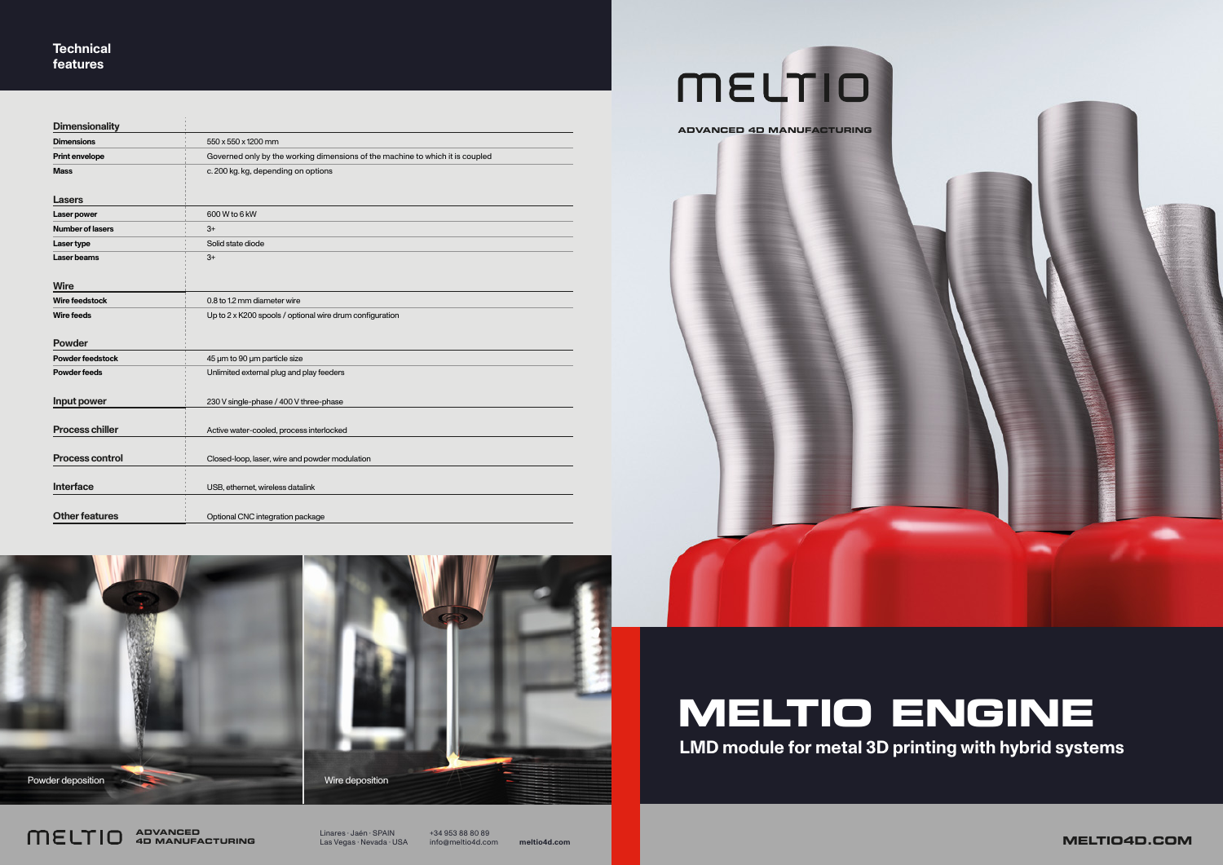Linares · Jaén · SPAIN Las Vegas · Nevada · USA +34 953 88 80 89



info@meltio4d.com **meltio4d.com MELTIO4D.COM**



**ADVANCED 4D MANUFACTURING**

| <b>Dimensionality</b>   |                                                                               |
|-------------------------|-------------------------------------------------------------------------------|
| <b>Dimensions</b>       | 550 x 550 x 1200 mm                                                           |
| Print envelope          | Governed only by the working dimensions of the machine to which it is coupled |
| <b>Mass</b>             | c. 200 kg. kg, depending on options                                           |
| <b>Lasers</b>           |                                                                               |
| Laser power             | 600 W to 6 kW                                                                 |
| <b>Number of lasers</b> | $3+$                                                                          |
| Laser type              | Solid state diode                                                             |
| <b>Laser beams</b>      | $3+$                                                                          |
| <b>Wire</b>             |                                                                               |
| Wire feedstock          | 0.8 to 1.2 mm diameter wire                                                   |
| <b>Wire feeds</b>       | Up to 2 x K200 spools / optional wire drum configuration                      |
| <b>Powder</b>           |                                                                               |
| <b>Powder feedstock</b> | 45 µm to 90 µm particle size                                                  |
| <b>Powder feeds</b>     | Unlimited external plug and play feeders                                      |
| Input power             | 230 V single-phase / 400 V three-phase                                        |
| <b>Process chiller</b>  | Active water-cooled, process interlocked                                      |
| <b>Process control</b>  | Closed-loop, laser, wire and powder modulation                                |
| <b>Interface</b>        | USB, ethernet, wireless datalink                                              |
| <b>Other features</b>   | Optional CNC integration package                                              |

**Powder deposition** New York 2008 and 2009 and 2009 wire deposition

meutio

# **MELTIO ENGINE LMD module for metal 3D printing with hybrid systems**